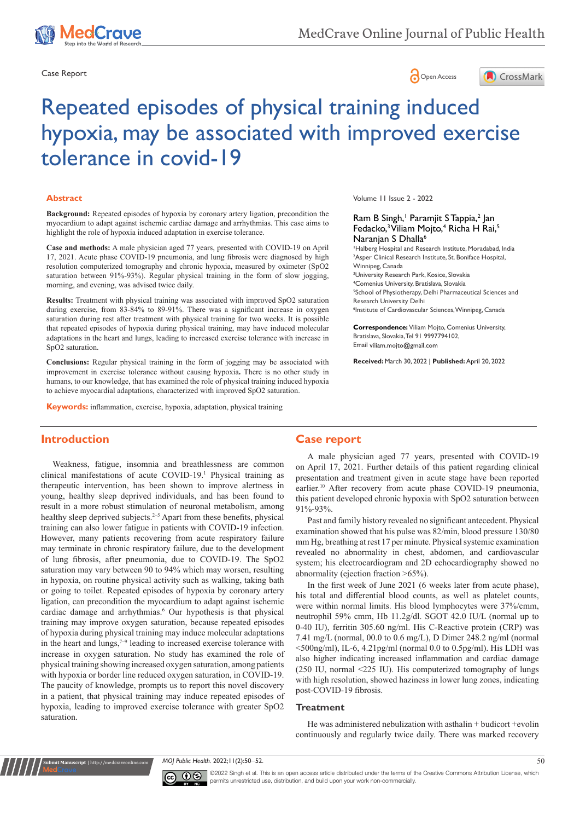





# Repeated episodes of physical training induced hypoxia, may be associated with improved exercise tolerance in covid-19

#### **Abstract**

**Background:** Repeated episodes of hypoxia by coronary artery ligation, precondition the myocardium to adapt against ischemic cardiac damage and arrhythmias. This case aims to highlight the role of hypoxia induced adaptation in exercise tolerance.

**Case and methods:** A male physician aged 77 years, presented with COVID-19 on April 17, 2021. Acute phase COVID-19 pneumonia, and lung fibrosis were diagnosed by high resolution computerized tomography and chronic hypoxia, measured by oximeter (SpO2 saturation between 91%-93%). Regular physical training in the form of slow jogging, morning, and evening, was advised twice daily.

**Results:** Treatment with physical training was associated with improved SpO2 saturation during exercise, from 83-84% to 89-91%. There was a significant increase in oxygen saturation during rest after treatment with physical training for two weeks. It is possible that repeated episodes of hypoxia during physical training, may have induced molecular adaptations in the heart and lungs, leading to increased exercise tolerance with increase in SpO2 saturation.

**Conclusions:** Regular physical training in the form of jogging may be associated with improvement in exercise tolerance without causing hypoxia**.** There is no other study in humans, to our knowledge, that has examined the role of physical training induced hypoxia to achieve myocardial adaptations, characterized with improved SpO2 saturation.

**Keywords:** inflammation, exercise, hypoxia, adaptation, physical training

Volume 11 Issue 2 - 2022

## Ram B Singh,<sup>1</sup> Paramjit S Tappia,<sup>2</sup> Jan Fedacko,<sup>3</sup> Viliam Mojto,<sup>4</sup> Richa H Rai,<sup>5</sup> Naranjan S Dhalla<sup>6</sup>

**1** Halberg Hospital and Research Institute, Moradabad, India <sup>2</sup>Asper Clinical Research Institute, St. Boniface Hospital, Winnipeg, Canada

 University Research Park, Kosice, Slovakia Comenius University, Bratislava, Slovakia School of Physiotherapy, Delhi Pharmaceutical Sciences and Research University Delhi Institute of Cardiovascular Sciences, Winnipeg, Canada

**Correspondence:** Viliam Mojto, Comenius University, Bratislava, Slovakia, Tel 91 9997794102, Email viliam.moito@gmail.com

**Received:** March 30, 2022 | **Published:** April 20, 2022

## **Introduction**

**11t Manuscript** | http://medcraveo

Weakness, fatigue, insomnia and breathlessness are common clinical manifestations of acute COVID-19.1 Physical training as therapeutic intervention, has been shown to improve alertness in young, healthy sleep deprived individuals, and has been found to result in a more robust stimulation of neuronal metabolism, among healthy sleep deprived subjects.<sup>2–5</sup> Apart from these benefits, physical training can also lower fatigue in patients with COVID-19 infection. However, many patients recovering from acute respiratory failure may terminate in chronic respiratory failure, due to the development of lung fibrosis, after pneumonia, due to COVID-19. The SpO2 saturation may vary between 90 to 94% which may worsen, resulting in hypoxia, on routine physical activity such as walking, taking bath or going to toilet. Repeated episodes of hypoxia by coronary artery ligation, can precondition the myocardium to adapt against ischemic cardiac damage and arrhythmias.<sup>6</sup> Our hypothesis is that physical training may improve oxygen saturation, because repeated episodes of hypoxia during physical training may induce molecular adaptations in the heart and lungs, $7-9$  leading to increased exercise tolerance with increase in oxygen saturation. No study has examined the role of physical training showing increased oxygen saturation, among patients with hypoxia or border line reduced oxygen saturation, in COVID-19. The paucity of knowledge, prompts us to report this novel discovery in a patient, that physical training may induce repeated episodes of hypoxia, leading to improved exercise tolerance with greater SpO2 saturation.

## **Case report**

A male physician aged 77 years, presented with COVID-19 on April 17, 2021. Further details of this patient regarding clinical presentation and treatment given in acute stage have been reported earlier.<sup>10</sup> After recovery from acute phase COVID-19 pneumonia, this patient developed chronic hypoxia with SpO2 saturation between 91%-93%.

Past and family history revealed no significant antecedent. Physical examination showed that his pulse was 82/min, blood pressure 130/80 mm Hg, breathing at rest 17 per minute. Physical systemic examination revealed no abnormality in chest, abdomen, and cardiovascular system; his electrocardiogram and 2D echocardiography showed no abnormality (ejection fraction >65%).

In the first week of June 2021 (6 weeks later from acute phase), his total and differential blood counts, as well as platelet counts, were within normal limits. His blood lymphocytes were 37%/cmm, neutrophil 59% cmm, Hb 11.2g/dl. SGOT 42.0 IU/L (normal up to 0-40 IU), ferritin 305.60 ng/ml. His C-Reactive protein (CRP) was 7.41 mg/L (normal, 00.0 to 0.6 mg/L), D Dimer 248.2 ng/ml (normal  $\leq$ 500ng/ml), IL-6, 4.21pg/ml (normal 0.0 to 0.5pg/ml). His LDH was also higher indicating increased inflammation and cardiac damage (250 IU, normal <225 IU). His computerized tomography of lungs with high resolution, showed haziness in lower lung zones, indicating post-COVID-19 fibrosis.

#### **Treatment**

He was administered nebulization with asthalin + budicort +evolin continuously and regularly twice daily. There was marked recovery

*MOJ Public Health.* 2022;11(2):50‒52. 50



©2022 Singh et al. This is an open access article distributed under the terms of the Creative Commons Attribution License, which permits unrestricted use, distribution, and build upon your work non-commercially.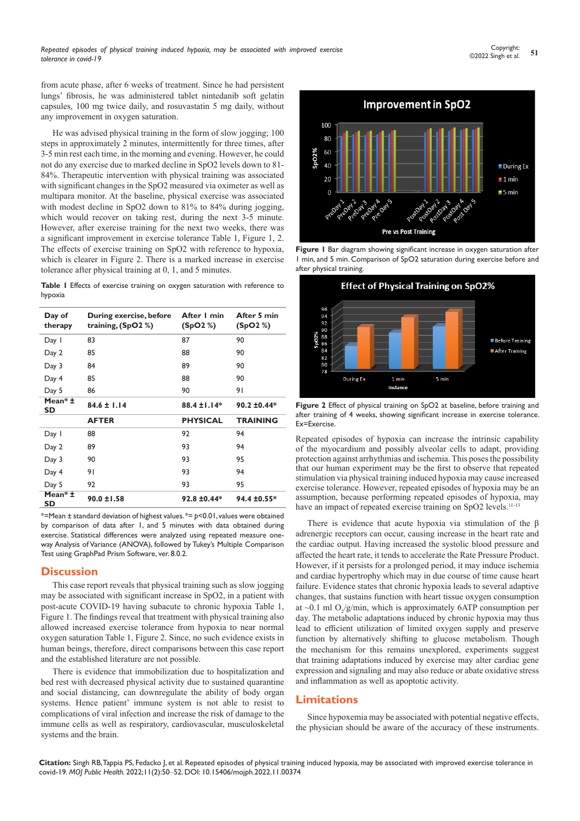from acute phase, after 6 weeks of treatment. Since he had persistent lungs' fibrosis, he was administered tablet nintedanib soft gelatin capsules, 100 mg twice daily, and rosuvastatin 5 mg daily, without any improvement in oxygen saturation.

He was advised physical training in the form of slow jogging; 100 steps in approximately 2 minutes, intermittently for three times, after 3-5 min rest each time, in the morning and evening. However, he could not do any exercise due to marked decline in SpO2 levels down to 81- 84%. Therapeutic intervention with physical training was associated with significant changes in the SpO2 measured via oximeter as well as multipara monitor. At the baseline, physical exercise was associated with modest decline in SpO2 down to 81% to 84% during jogging, which would recover on taking rest, during the next 3-5 minute. However, after exercise training for the next two weeks, there was a significant improvement in exercise tolerance Table 1, Figure 1, 2. The effects of exercise training on SpO2 with reference to hypoxia, which is clearer in Figure 2. There is a marked increase in exercise tolerance after physical training at 0, 1, and 5 minutes.

**Table 1** Effects of exercise training on oxygen saturation with reference to hypoxia

| Day of<br>therapy | During exercise, before<br>training, $(SpO2%)$ | After I min<br>(SpO2%) | After 5 min<br>(SpO2%) |
|-------------------|------------------------------------------------|------------------------|------------------------|
| Day 1             | 83                                             | 87                     | 90                     |
| Day 2             | 85                                             | 88                     | 90                     |
| Day 3             | 84                                             | 89                     | 90                     |
| Day 4             | 85                                             | 88                     | 90                     |
| Day 5             | 86                                             | 90                     | 91                     |
| Mean* ±<br>SD     | $84.6 \pm 1.14$                                | $88.4 \pm 1.14*$       | $90.2 \pm 0.44*$       |
|                   | <b>AFTER</b>                                   | <b>PHYSICAL</b>        | <b>TRAINING</b>        |
| Day 1             | 88                                             | 92                     | 94                     |
| Day 2             | 89                                             | 93                     | 94                     |
| Day 3             | 90                                             | 93                     | 95                     |
| Day 4             | 91                                             | 93                     | 94                     |
| Day 5             | 92                                             | 93                     | 95                     |
| Mean* ±<br>SD     | $90.0 \pm 1.58$                                | 92.8 ±0.44*            | 94.4 ±0.55*            |

\*=Mean ± standard deviation of highest values. \*= *p*<0.01, values were obtained by comparison of data after 1, and 5 minutes with data obtained during exercise. Statistical differences were analyzed using repeated measure oneway Analysis of Variance (ANOVA), followed by Tukey's Multiple Comparison Test using GraphPad Prism Software, ver. 8.0.2.

## **Discussion**

This case report reveals that physical training such as slow jogging may be associated with significant increase in SpO2, in a patient with post-acute COVID-19 having subacute to chronic hypoxia Table 1, Figure 1. The findings reveal that treatment with physical training also allowed increased exercise tolerance from hypoxia to near normal oxygen saturation Table 1, Figure 2. Since, no such evidence exists in human beings, therefore, direct comparisons between this case report and the established literature are not possible.

There is evidence that immobilization due to hospitalization and bed rest with decreased physical activity due to sustained quarantine and social distancing, can downregulate the ability of body organ systems. Hence patient' immune system is not able to resist to complications of viral infection and increase the risk of damage to the immune cells as well as respiratory, cardiovascular, musculoskeletal systems and the brain.



**Figure 1** Bar diagram showing significant increase in oxygen saturation after 1 min, and 5 min. Comparison of SpO2 saturation during exercise before and after physical training.



**Figure 2** Effect of physical training on SpO2 at baseline, before training and after training of 4 weeks, showing significant increase in exercise tolerance. Ex=Exercise.

Repeated episodes of hypoxia can increase the intrinsic capability of the myocardium and possibly alveolar cells to adapt, providing protection against arrhythmias and ischemia. This poses the possibility that our human experiment may be the first to observe that repeated stimulation via physical training induced hypoxia may cause increased exercise tolerance. However, repeated episodes of hypoxia may be an assumption, because performing repeated episodes of hypoxia, may have an impact of repeated exercise training on SpO2 levels.<sup>11-13</sup>

There is evidence that acute hypoxia via stimulation of the β adrenergic receptors can occur, causing increase in the heart rate and the cardiac output. Having increased the systolic blood pressure and affected the heart rate, it tends to accelerate the Rate Pressure Product. However, if it persists for a prolonged period, it may induce ischemia and cardiac hypertrophy which may in due course of time cause heart failure. Evidence states that chronic hypoxia leads to several adaptive changes, that sustains function with heart tissue oxygen consumption at  $\sim$ 0.1 ml O<sub>2</sub>/g/min, which is approximately 6ATP consumption per day. The metabolic adaptations induced by chronic hypoxia may thus lead to efficient utilization of limited oxygen supply and preserve function by alternatively shifting to glucose metabolism. Though the mechanism for this remains unexplored, experiments suggest that training adaptations induced by exercise may alter cardiac gene expression and signaling and may also reduce or abate oxidative stress and inflammation as well as apoptotic activity.

# **Limitations**

Since hypoxemia may be associated with potential negative effects, the physician should be aware of the accuracy of these instruments.

**Citation:** Singh RB, Tappia PS, Fedacko J, et al. Repeated episodes of physical training induced hypoxia, may be associated with improved exercise tolerance in covid-19. *MOJ Public Health.* 2022;11(2):50‒52. DOI: [10.15406/mojph.2022.11.00374](https://doi.org/10.15406/mojph.2022.11.00374)